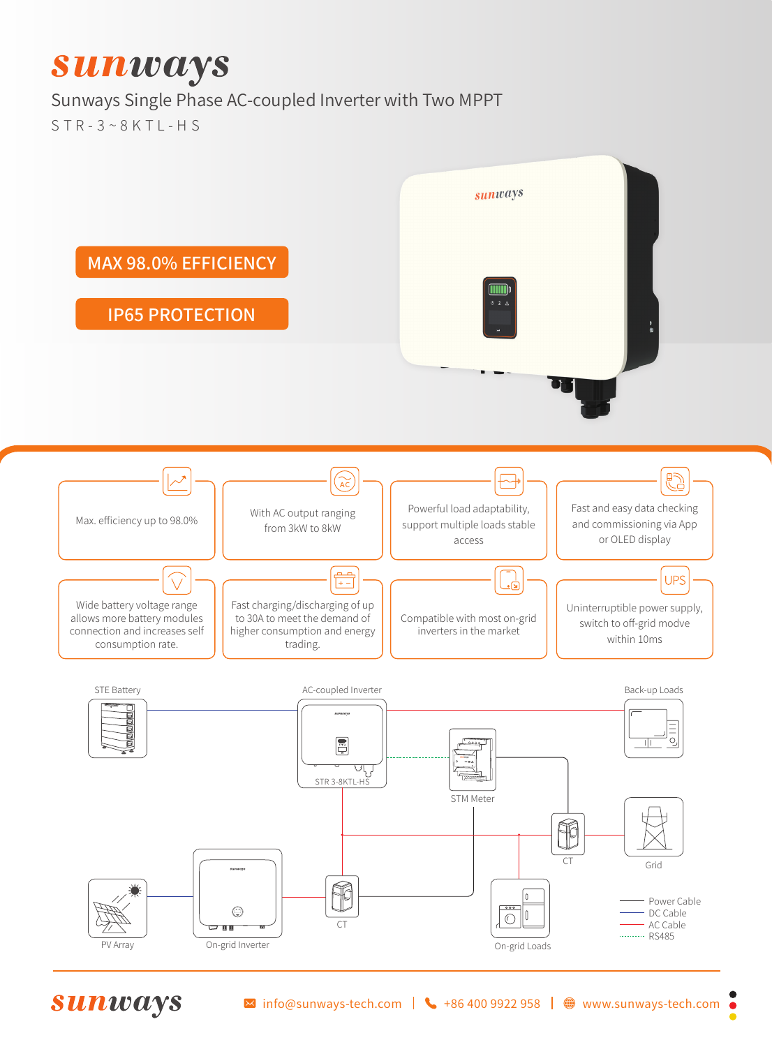## **Sunways**

## Sunways Single Phase AC-coupled Inverter with Two MPPT

 $STR-3\sim 8KTI-HS$ 



**Sunways**